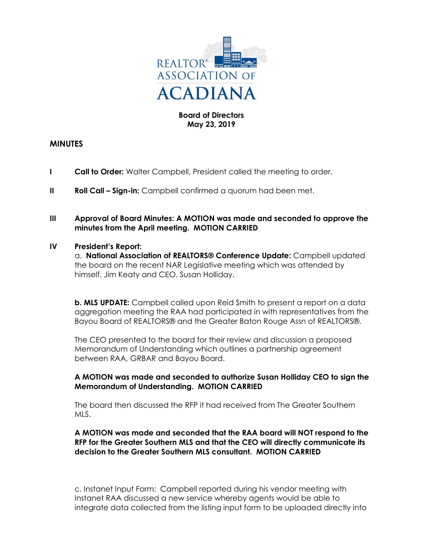

# **Board of Directors May 23, 2019**

# **MINUTES**

- **I Call to Order:** Walter Campbell, President called the meeting to order.
- **II Roll Call Sign-in:** Campbell confirmed a quorum had been met.

### **III Approval of Board Minutes: A MOTION was made and seconded to approve the minutes from the April meeting. MOTION CARRIED**

### **IV President's Report:**

a. **National Association of REALTORS® Conference Update:** Campbell updated the board on the recent NAR Legislative meeting which was attended by himself, Jim Keaty and CEO, Susan Holliday.

**b. MLS UPDATE:** Campbell called upon Reid Smith to present a report on a data aggregation meeting the RAA had participated in with representatives from the Bayou Board of REALTORS® and the Greater Baton Rouge Assn of REALTORS®.

The CEO presented to the board for their review and discussion a proposed Memorandum of Understanding which outlines a partnership agreement between RAA, GRBAR and Bayou Board.

# **A MOTION was made and seconded to authorize Susan Holliday CEO to sign the Memorandum of Understanding. MOTION CARRIED**

The board then discussed the RFP it had received from The Greater Southern MLS.

### **A MOTION was made and seconded that the RAA board will NOT respond to the RFP for the Greater Southern MLS and that the CEO will directly communicate its decision to the Greater Southern MLS consultant. MOTION CARRIED**

c. Instanet Input Form: Campbell reported during his vendor meeting with Instanet RAA discussed a new service whereby agents would be able to integrate data collected from the listing input form to be uploaded directly into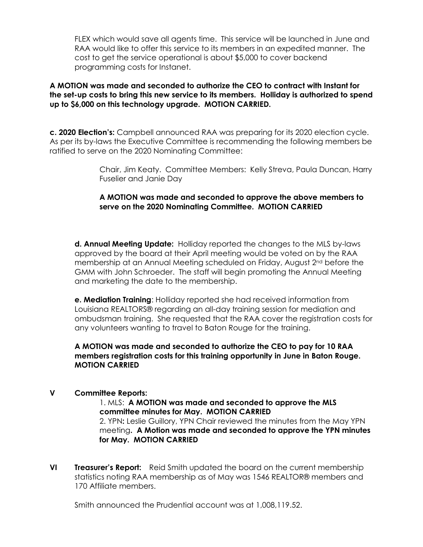FLEX which would save all agents time. This service will be launched in June and RAA would like to offer this service to its members in an expedited manner. The cost to get the service operational is about \$5,000 to cover backend programming costs for Instanet.

#### **A MOTION was made and seconded to authorize the CEO to contract with Instant for the set-up costs to bring this new service to its members. Holliday is authorized to spend up to \$6,000 on this technology upgrade. MOTION CARRIED.**

**c. 2020 Election's:** Campbell announced RAA was preparing for its 2020 election cycle. As per its by-laws the Executive Committee is recommending the following members be ratified to serve on the 2020 Nominating Committee:

> Chair, Jim Keaty. Committee Members: Kelly Streva, Paula Duncan, Harry Fuselier and Janie Day

# **A MOTION was made and seconded to approve the above members to serve on the 2020 Nominating Committee. MOTION CARRIED**

**d. Annual Meeting Update:** Holliday reported the changes to the MLS by-laws approved by the board at their April meeting would be voted on by the RAA membership at an Annual Meeting scheduled on Friday, August 2nd before the GMM with John Schroeder. The staff will begin promoting the Annual Meeting and marketing the date to the membership.

**e. Mediation Training**: Holliday reported she had received information from Louisiana REALTORS® regarding an all-day training session for mediation and ombudsman training. She requested that the RAA cover the registration costs for any volunteers wanting to travel to Baton Rouge for the training.

**A MOTION was made and seconded to authorize the CEO to pay for 10 RAA members registration costs for this training opportunity in June in Baton Rouge. MOTION CARRIED**

# **V Committee Reports:**

1. MLS: **A MOTION was made and seconded to approve the MLS committee minutes for May. MOTION CARRIED** 2. YPN**:** Leslie Guillory, YPN Chair reviewed the minutes from the May YPN meeting**. A Motion was made and seconded to approve the YPN minutes for May. MOTION CARRIED** 

**VI Treasurer's Report:** Reid Smith updated the board on the current membership statistics noting RAA membership as of May was 1546 REALTOR® members and 170 Affiliate members.

Smith announced the Prudential account was at 1,008,119.52.